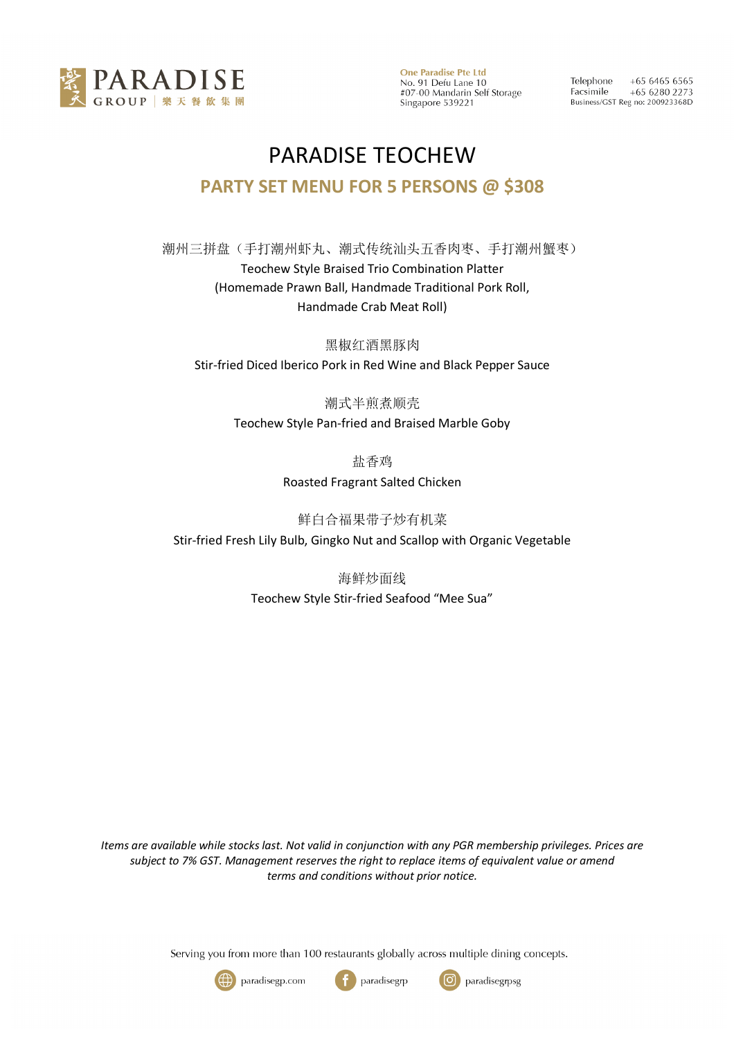

**One Paradise Pte Ltd** No. 91 Defu Lane 10<br>#07-00 Mandarin Self Storage Singapore 539221

 $+6564656565$ Telephone Facsimile +65 6280 2273 Business/GST Reg no: 200923368D

## PARADISE TEOCHEW **PARTY SET MENU FOR 5 PERSONS @ \$308**

潮州三拼盘(手打潮州虾丸、潮式传统汕头五香肉枣、手打潮州蟹枣) Teochew Style Braised Trio Combination Platter (Homemade Prawn Ball, Handmade Traditional Pork Roll, Handmade Crab Meat Roll)

黑椒红酒黑豚肉 Stir-fried Diced Iberico Pork in Red Wine and Black Pepper Sauce

> 潮式半煎煮顺壳 Teochew Style Pan-fried and Braised Marble Goby

> > 盐香鸡

Roasted Fragrant Salted Chicken

鲜白合福果带子炒有机菜

Stir-fried Fresh Lily Bulb, Gingko Nut and Scallop with Organic Vegetable

海鲜炒面线

Teochew Style Stir-fried Seafood "Mee Sua"

*Items are available while stocks last. Not valid in conjunction with any PGR membership privileges. Prices are subject to 7% GST. Management reserves the right to replace items of equivalent value or amend terms and conditions without prior notice.*

Serving you from more than 100 restaurants globally across multiple dining concepts.





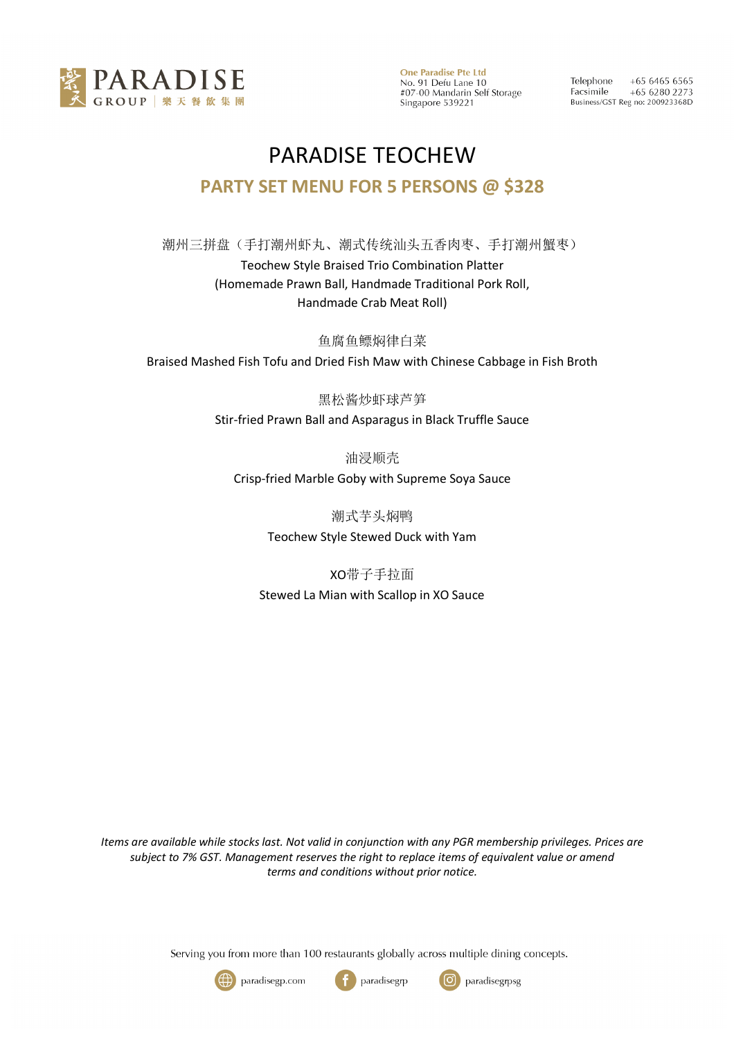

**One Paradise Pte Ltd** No. 91 Defu Lane 10 #07-00 Mandarin Self Storage Singapore 539221

 $+6564656565$ Telephone Facsimile  $+6562802273$ Business/GST Reg no: 200923368D

## PARADISE TEOCHEW **PARTY SET MENU FOR 5 PERSONS @ \$328**

潮州三拼盘(手打潮州虾丸、潮式传统汕头五香肉枣、手打潮州蟹枣) Teochew Style Braised Trio Combination Platter (Homemade Prawn Ball, Handmade Traditional Pork Roll, Handmade Crab Meat Roll)

鱼腐鱼鳔焖律白菜 Braised Mashed Fish Tofu and Dried Fish Maw with Chinese Cabbage in Fish Broth

黑松酱炒虾球芦笋

Stir-fried Prawn Ball and Asparagus in Black Truffle Sauce

油浸顺壳 Crisp-fried Marble Goby with Supreme Soya Sauce

> 潮式芋头焖鸭 Teochew Style Stewed Duck with Yam

XO带子手拉面 Stewed La Mian with Scallop in XO Sauce

*Items are available while stocks last. Not valid in conjunction with any PGR membership privileges. Prices are subject to 7% GST. Management reserves the right to replace items of equivalent value or amend terms and conditions without prior notice.*

Serving you from more than 100 restaurants globally across multiple dining concepts.





ြ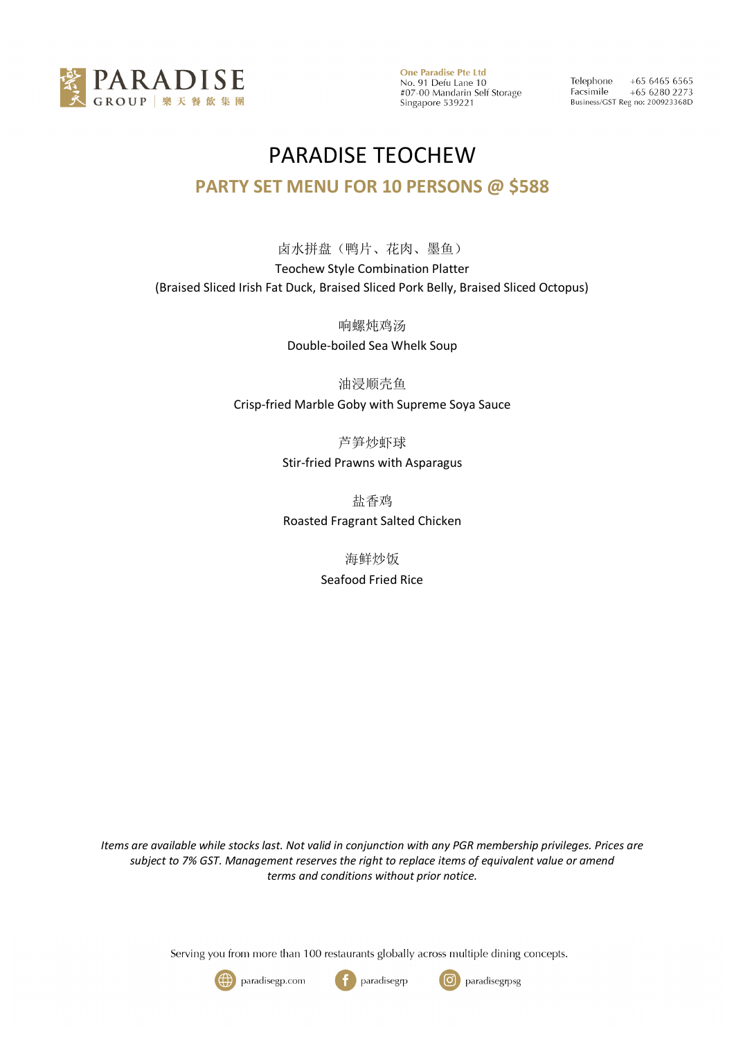

**One Paradise Pte Ltd** No. 91 Defu Lane 10<br>#07-00 Mandarin Self Storage Singapore 539221

Telephone  $+6564656565$ Facsimile  $+6562802273$ Business/GST Reg no: 200923368D

## PARADISE TEOCHEW **PARTY SET MENU FOR 10 PERSONS @ \$588**

卤水拼盘(鸭片、花肉、墨鱼) Teochew Style Combination Platter (Braised Sliced Irish Fat Duck, Braised Sliced Pork Belly, Braised Sliced Octopus)

> 响螺炖鸡汤 Double-boiled Sea Whelk Soup

油浸顺壳鱼 Crisp-fried Marble Goby with Supreme Soya Sauce

> 芦笋炒虾球 Stir-fried Prawns with Asparagus

> 盐香鸡 Roasted Fragrant Salted Chicken

> > 海鲜炒饭 Seafood Fried Rice

*Items are available while stocks last. Not valid in conjunction with any PGR membership privileges. Prices are subject to 7% GST. Management reserves the right to replace items of equivalent value or amend terms and conditions without prior notice.*

Serving you from more than 100 restaurants globally across multiple dining concepts.